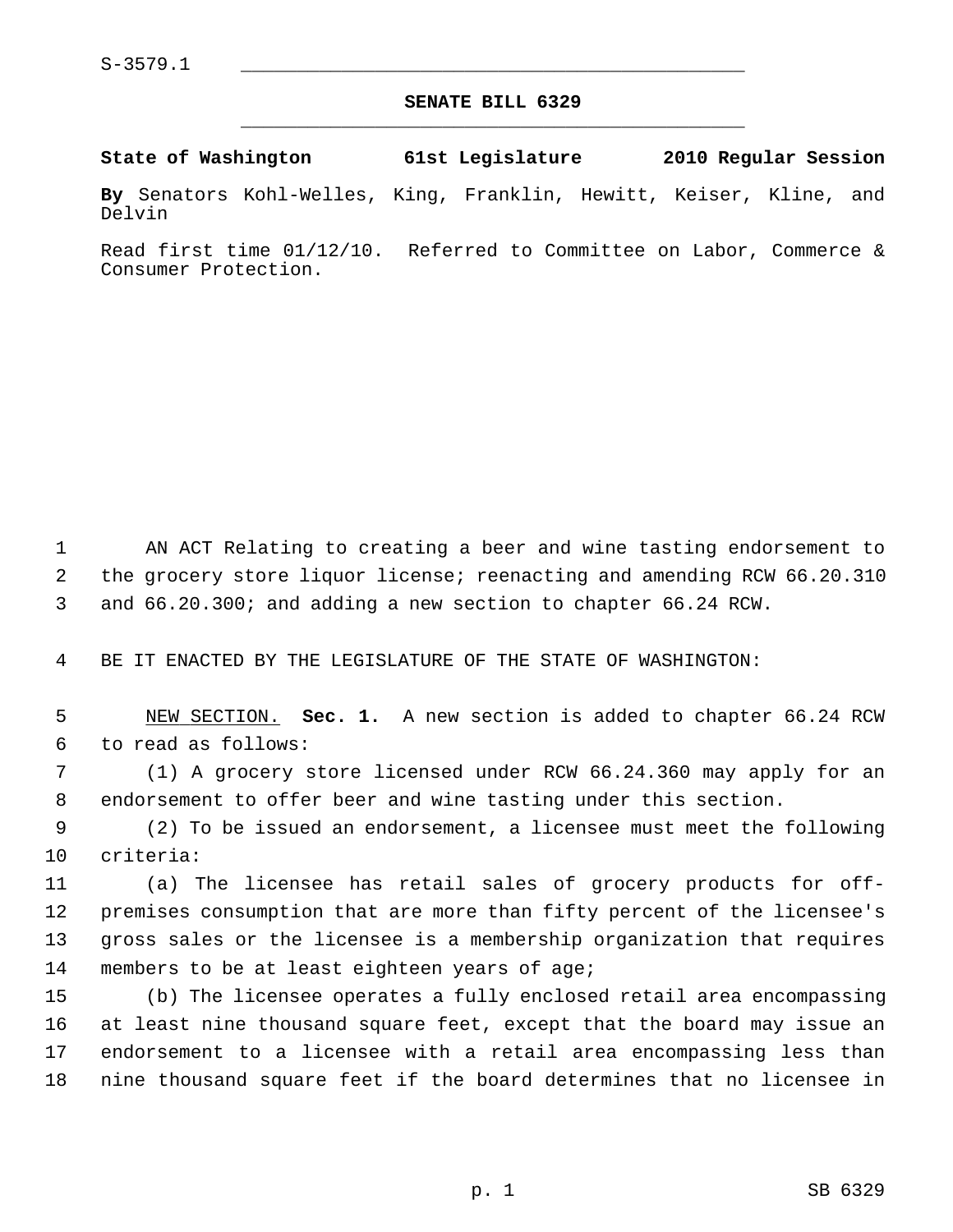## **SENATE BILL 6329** \_\_\_\_\_\_\_\_\_\_\_\_\_\_\_\_\_\_\_\_\_\_\_\_\_\_\_\_\_\_\_\_\_\_\_\_\_\_\_\_\_\_\_\_\_

**State of Washington 61st Legislature 2010 Regular Session**

**By** Senators Kohl-Welles, King, Franklin, Hewitt, Keiser, Kline, and Delvin

Read first time 01/12/10. Referred to Committee on Labor, Commerce & Consumer Protection.

 1 AN ACT Relating to creating a beer and wine tasting endorsement to 2 the grocery store liquor license; reenacting and amending RCW 66.20.310 3 and 66.20.300; and adding a new section to chapter 66.24 RCW.

4 BE IT ENACTED BY THE LEGISLATURE OF THE STATE OF WASHINGTON:

 5 NEW SECTION. **Sec. 1.** A new section is added to chapter 66.24 RCW 6 to read as follows:

 7 (1) A grocery store licensed under RCW 66.24.360 may apply for an 8 endorsement to offer beer and wine tasting under this section.

 9 (2) To be issued an endorsement, a licensee must meet the following 10 criteria:

11 (a) The licensee has retail sales of grocery products for off-12 premises consumption that are more than fifty percent of the licensee's 13 gross sales or the licensee is a membership organization that requires 14 members to be at least eighteen years of age;

15 (b) The licensee operates a fully enclosed retail area encompassing 16 at least nine thousand square feet, except that the board may issue an 17 endorsement to a licensee with a retail area encompassing less than 18 nine thousand square feet if the board determines that no licensee in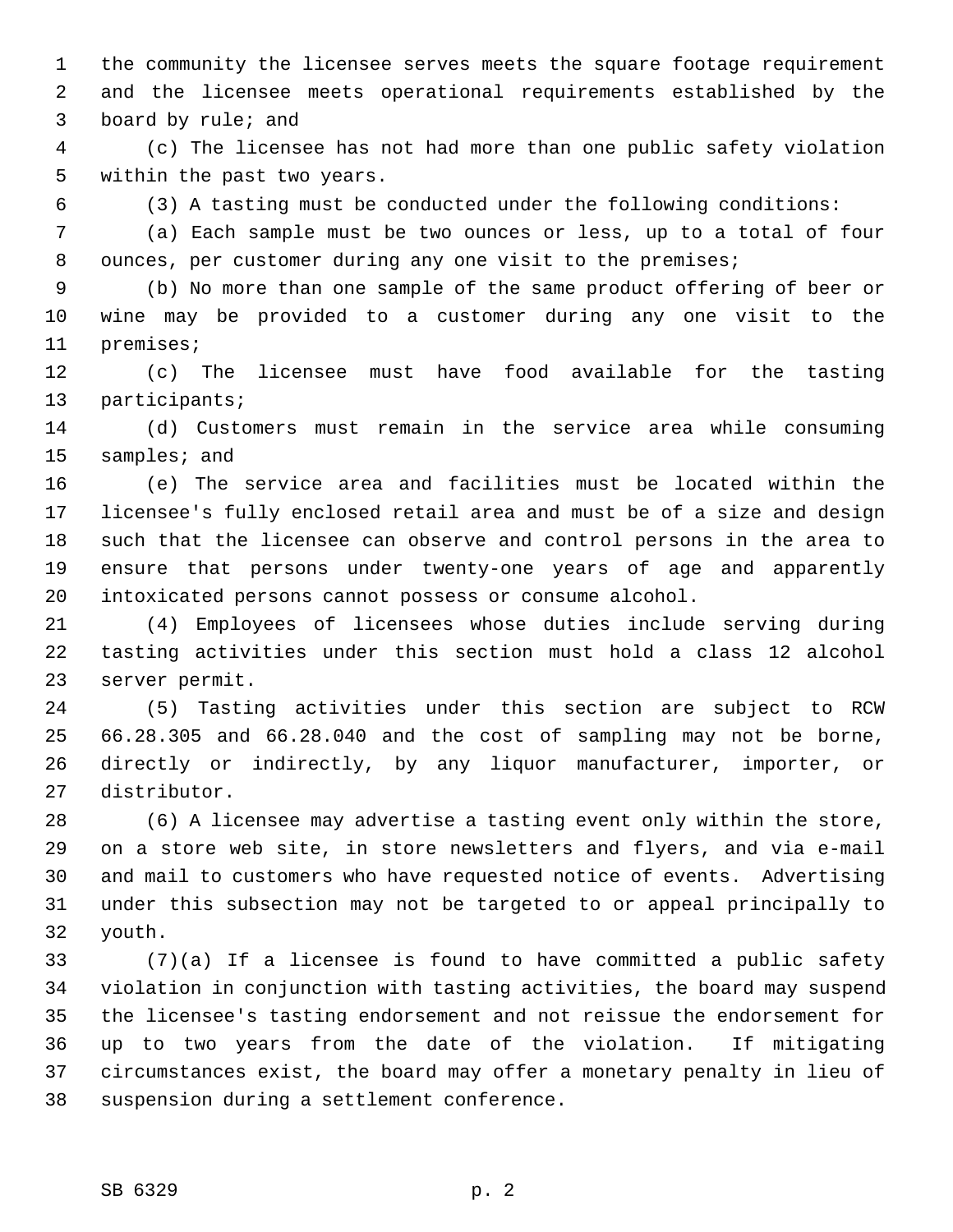1 the community the licensee serves meets the square footage requirement 2 and the licensee meets operational requirements established by the 3 board by rule; and

 4 (c) The licensee has not had more than one public safety violation 5 within the past two years.

6 (3) A tasting must be conducted under the following conditions:

 7 (a) Each sample must be two ounces or less, up to a total of four 8 ounces, per customer during any one visit to the premises;

 9 (b) No more than one sample of the same product offering of beer or 10 wine may be provided to a customer during any one visit to the 11 premises;

12 (c) The licensee must have food available for the tasting 13 participants;

14 (d) Customers must remain in the service area while consuming 15 samples; and

16 (e) The service area and facilities must be located within the 17 licensee's fully enclosed retail area and must be of a size and design 18 such that the licensee can observe and control persons in the area to 19 ensure that persons under twenty-one years of age and apparently 20 intoxicated persons cannot possess or consume alcohol.

21 (4) Employees of licensees whose duties include serving during 22 tasting activities under this section must hold a class 12 alcohol 23 server permit.

24 (5) Tasting activities under this section are subject to RCW 25 66.28.305 and 66.28.040 and the cost of sampling may not be borne, 26 directly or indirectly, by any liquor manufacturer, importer, or 27 distributor.

28 (6) A licensee may advertise a tasting event only within the store, 29 on a store web site, in store newsletters and flyers, and via e-mail 30 and mail to customers who have requested notice of events. Advertising 31 under this subsection may not be targeted to or appeal principally to 32 youth.

33 (7)(a) If a licensee is found to have committed a public safety 34 violation in conjunction with tasting activities, the board may suspend 35 the licensee's tasting endorsement and not reissue the endorsement for 36 up to two years from the date of the violation. If mitigating 37 circumstances exist, the board may offer a monetary penalty in lieu of 38 suspension during a settlement conference.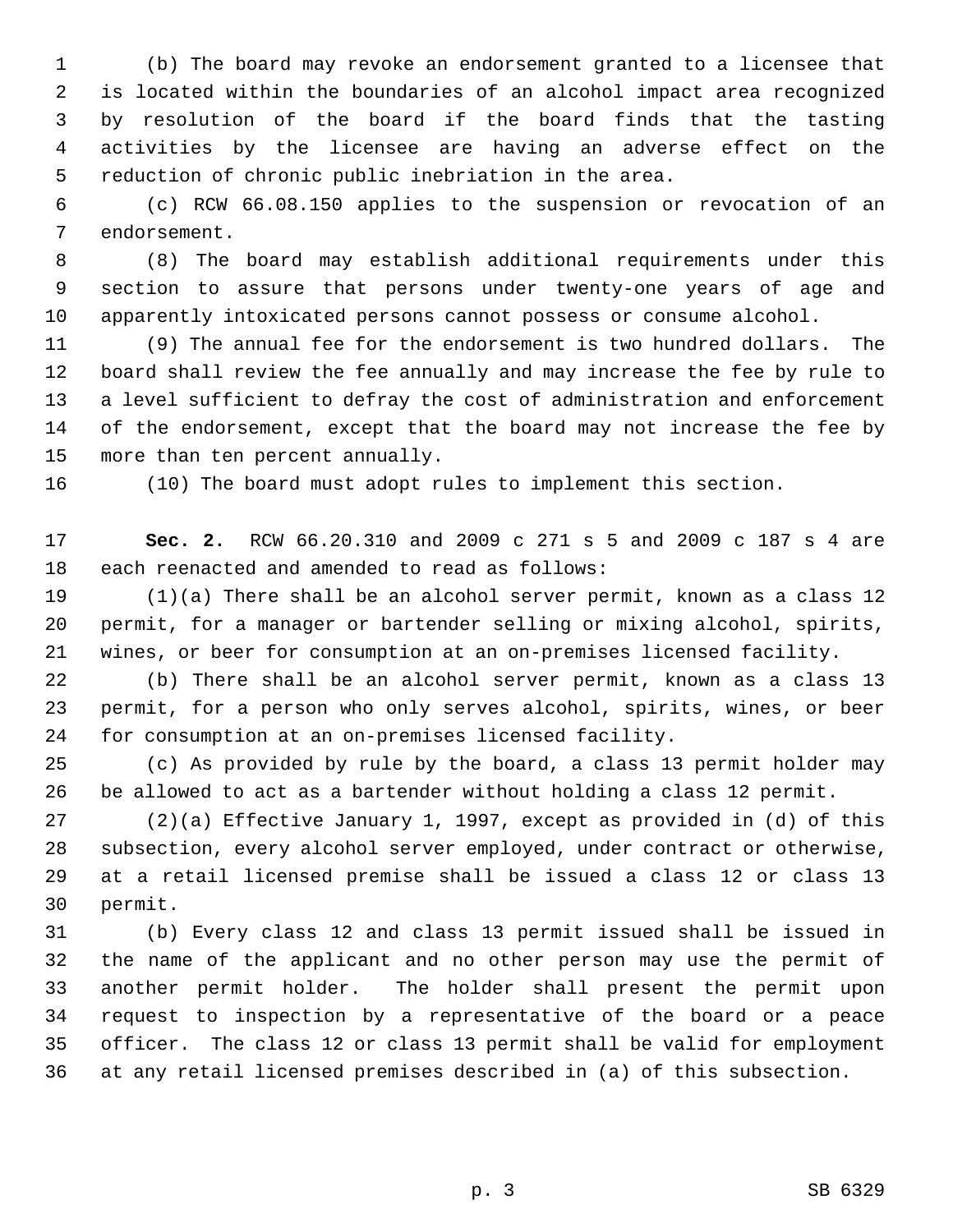1 (b) The board may revoke an endorsement granted to a licensee that 2 is located within the boundaries of an alcohol impact area recognized 3 by resolution of the board if the board finds that the tasting 4 activities by the licensee are having an adverse effect on the 5 reduction of chronic public inebriation in the area.

 6 (c) RCW 66.08.150 applies to the suspension or revocation of an 7 endorsement.

 8 (8) The board may establish additional requirements under this 9 section to assure that persons under twenty-one years of age and 10 apparently intoxicated persons cannot possess or consume alcohol.

11 (9) The annual fee for the endorsement is two hundred dollars. The 12 board shall review the fee annually and may increase the fee by rule to 13 a level sufficient to defray the cost of administration and enforcement 14 of the endorsement, except that the board may not increase the fee by 15 more than ten percent annually.

16 (10) The board must adopt rules to implement this section.

17 **Sec. 2.** RCW 66.20.310 and 2009 c 271 s 5 and 2009 c 187 s 4 are 18 each reenacted and amended to read as follows:

19 (1)(a) There shall be an alcohol server permit, known as a class 12 20 permit, for a manager or bartender selling or mixing alcohol, spirits, 21 wines, or beer for consumption at an on-premises licensed facility.

22 (b) There shall be an alcohol server permit, known as a class 13 23 permit, for a person who only serves alcohol, spirits, wines, or beer 24 for consumption at an on-premises licensed facility.

25 (c) As provided by rule by the board, a class 13 permit holder may 26 be allowed to act as a bartender without holding a class 12 permit.

27 (2)(a) Effective January 1, 1997, except as provided in (d) of this 28 subsection, every alcohol server employed, under contract or otherwise, 29 at a retail licensed premise shall be issued a class 12 or class 13 30 permit.

31 (b) Every class 12 and class 13 permit issued shall be issued in 32 the name of the applicant and no other person may use the permit of 33 another permit holder. The holder shall present the permit upon 34 request to inspection by a representative of the board or a peace 35 officer. The class 12 or class 13 permit shall be valid for employment 36 at any retail licensed premises described in (a) of this subsection.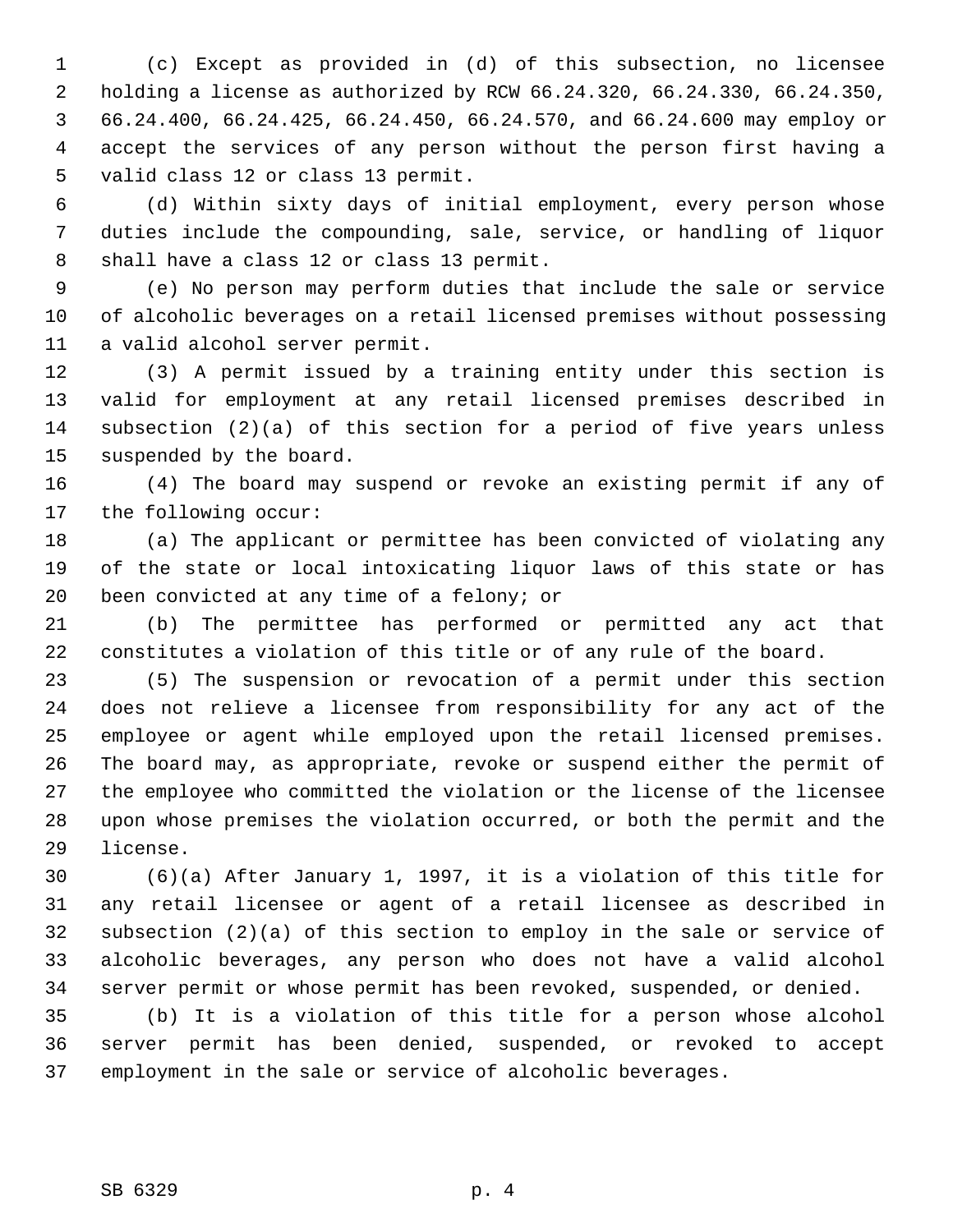1 (c) Except as provided in (d) of this subsection, no licensee 2 holding a license as authorized by RCW 66.24.320, 66.24.330, 66.24.350, 3 66.24.400, 66.24.425, 66.24.450, 66.24.570, and 66.24.600 may employ or 4 accept the services of any person without the person first having a 5 valid class 12 or class 13 permit.

 6 (d) Within sixty days of initial employment, every person whose 7 duties include the compounding, sale, service, or handling of liquor 8 shall have a class 12 or class 13 permit.

 9 (e) No person may perform duties that include the sale or service 10 of alcoholic beverages on a retail licensed premises without possessing 11 a valid alcohol server permit.

12 (3) A permit issued by a training entity under this section is 13 valid for employment at any retail licensed premises described in 14 subsection (2)(a) of this section for a period of five years unless 15 suspended by the board.

16 (4) The board may suspend or revoke an existing permit if any of 17 the following occur:

18 (a) The applicant or permittee has been convicted of violating any 19 of the state or local intoxicating liquor laws of this state or has 20 been convicted at any time of a felony; or

21 (b) The permittee has performed or permitted any act that 22 constitutes a violation of this title or of any rule of the board.

23 (5) The suspension or revocation of a permit under this section 24 does not relieve a licensee from responsibility for any act of the 25 employee or agent while employed upon the retail licensed premises. 26 The board may, as appropriate, revoke or suspend either the permit of 27 the employee who committed the violation or the license of the licensee 28 upon whose premises the violation occurred, or both the permit and the 29 license.

30 (6)(a) After January 1, 1997, it is a violation of this title for 31 any retail licensee or agent of a retail licensee as described in 32 subsection (2)(a) of this section to employ in the sale or service of 33 alcoholic beverages, any person who does not have a valid alcohol 34 server permit or whose permit has been revoked, suspended, or denied.

35 (b) It is a violation of this title for a person whose alcohol 36 server permit has been denied, suspended, or revoked to accept 37 employment in the sale or service of alcoholic beverages.